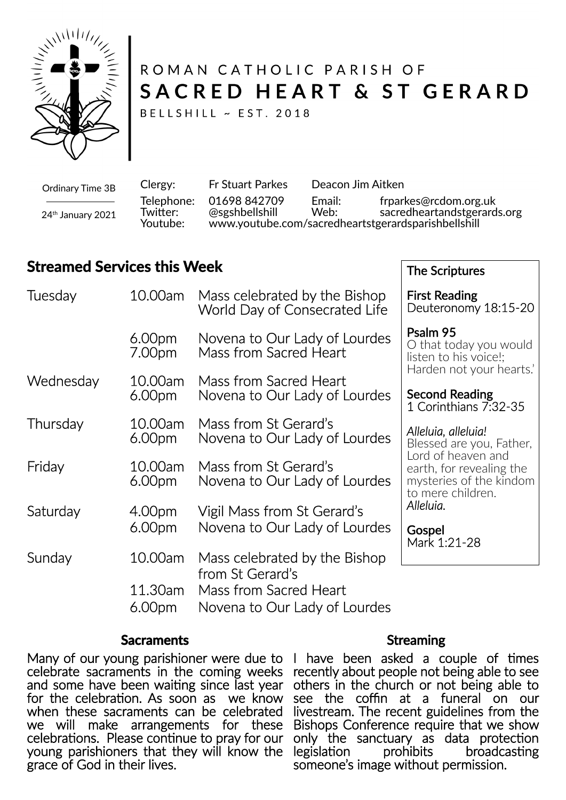

# ROMAN CATHOLIC PARISH OF SACRED HEART & ST GERARD

BELLSHILL ~ EST. 2018

Ordinary Time 3B 24<sup>th</sup> January 2021

Clergy: Fr Stuart Parkes Deacon Jim Aitken Telephone: 01698 842709 Email: frparkes@rcdom.org.uk sacredheartandstgerards.org Youtube: www.youtube.com/sacredheartstgerardsparishbellshill

The Scriptures

## **Streamed Services this Week**

| Tuesday   | 10.00am                       | Mass celebrated by the Bishop<br>World Day of Consecrated Life              | <b>First Reading</b><br>Deuteronomy 18:15-20                                                   |
|-----------|-------------------------------|-----------------------------------------------------------------------------|------------------------------------------------------------------------------------------------|
|           | 6.00 <sub>pm</sub><br>7.00pm  | Novena to Our Lady of Lourdes<br>Mass from Sacred Heart                     | Psalm 95<br>O that today you would<br>listen to his voice!;                                    |
| Wednesday | 10.00am<br>6.00 <sub>pm</sub> | Mass from Sacred Heart<br>Novena to Our Lady of Lourdes                     | Harden not your hearts.<br><b>Second Reading</b><br>1 Corinthians 7:32-35                      |
| Thursday  | 10.00am<br>6.00 <sub>pm</sub> | Mass from St Gerard's<br>Novena to Our Lady of Lourdes                      | Alleluia, alleluia!<br>Blessed are you, Father,                                                |
| Friday    | 10.00am<br>6.00 <sub>pm</sub> | Mass from St Gerard's<br>Novena to Our Lady of Lourdes                      | Lord of heaven and<br>earth, for revealing the<br>mysteries of the kindom<br>to mere children. |
| Saturday  | 4.00pm<br>6.00 <sub>pm</sub>  | Vigil Mass from St Gerard's<br>Novena to Our Lady of Lourdes                | Alleluia.<br>Gospel<br>Mark 1:21-28                                                            |
| Sunday    | 10.00am<br>11.30am            | Mass celebrated by the Bishop<br>from St Gerard's<br>Mass from Sacred Heart |                                                                                                |
|           | 6.00 <sub>pm</sub>            | Novena to Our Lady of Lourdes                                               |                                                                                                |

#### **Sacraments**

Many of our young parishioner were due to celebrate sacraments in the coming weeks and some have been waiting since last year for the celebration. As soon as we know when these sacraments can be celebrated we will make arrangements for these celebrations. Please continue to pray for our young parishioners that they will know the grace of God in their lives.

#### **Streaming**

I have been asked a couple of times recently about people not being able to see others in the church or not being able to see the coffin at a funeral on our livestream. The recent guidelines from the Bishops Conference require that we show only the sanctuary as data protection<br>legislation prohibits broadcasting broadcasting someone's image without permission.